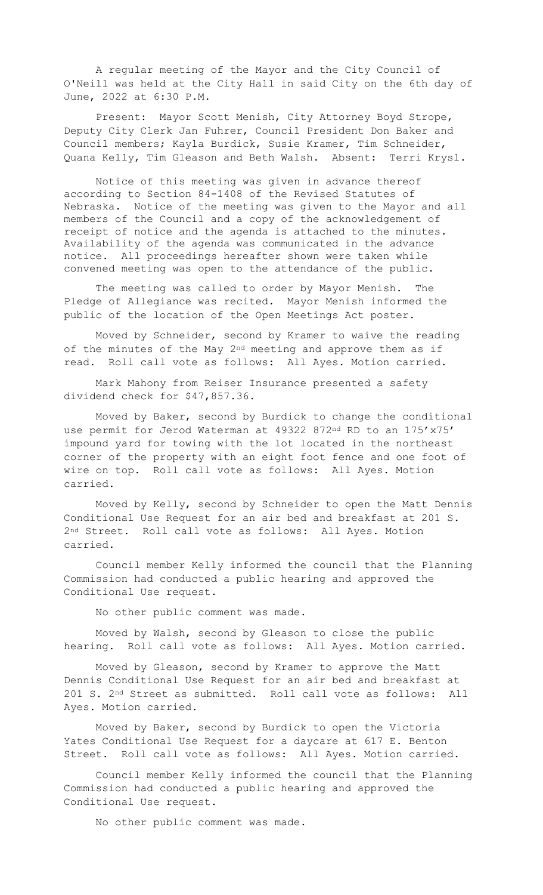A regular meeting of the Mayor and the City Council of O'Neill was held at the City Hall in said City on the 6th day of June, 2022 at 6:30 P.M.

Present: Mayor Scott Menish, City Attorney Boyd Strope, Deputy City Clerk Jan Fuhrer, Council President Don Baker and Council members; Kayla Burdick, Susie Kramer, Tim Schneider, Quana Kelly, Tim Gleason and Beth Walsh. Absent: Terri Krysl.

Notice of this meeting was given in advance thereof according to Section 84-1408 of the Revised Statutes of Nebraska. Notice of the meeting was given to the Mayor and all members of the Council and a copy of the acknowledgement of receipt of notice and the agenda is attached to the minutes. Availability of the agenda was communicated in the advance notice. All proceedings hereafter shown were taken while convened meeting was open to the attendance of the public.

The meeting was called to order by Mayor Menish. The Pledge of Allegiance was recited. Mayor Menish informed the public of the location of the Open Meetings Act poster.

Moved by Schneider, second by Kramer to waive the reading of the minutes of the May  $2^{nd}$  meeting and approve them as if read. Roll call vote as follows: All Ayes. Motion carried.

Mark Mahony from Reiser Insurance presented a safety dividend check for \$47,857.36.

Moved by Baker, second by Burdick to change the conditional use permit for Jerod Waterman at 49322 872nd RD to an 175'x75' impound yard for towing with the lot located in the northeast corner of the property with an eight foot fence and one foot of wire on top. Roll call vote as follows: All Ayes. Motion carried.

Moved by Kelly, second by Schneider to open the Matt Dennis Conditional Use Request for an air bed and breakfast at 201 S. 2nd Street. Roll call vote as follows: All Ayes. Motion carried.

Council member Kelly informed the council that the Planning Commission had conducted a public hearing and approved the Conditional Use request.

No other public comment was made.

Moved by Walsh, second by Gleason to close the public hearing. Roll call vote as follows: All Ayes. Motion carried.

Moved by Gleason, second by Kramer to approve the Matt Dennis Conditional Use Request for an air bed and breakfast at 201 S. 2nd Street as submitted. Roll call vote as follows: All Ayes. Motion carried.

Moved by Baker, second by Burdick to open the Victoria Yates Conditional Use Request for a daycare at 617 E. Benton Street. Roll call vote as follows: All Ayes. Motion carried.

Council member Kelly informed the council that the Planning Commission had conducted a public hearing and approved the Conditional Use request.

No other public comment was made.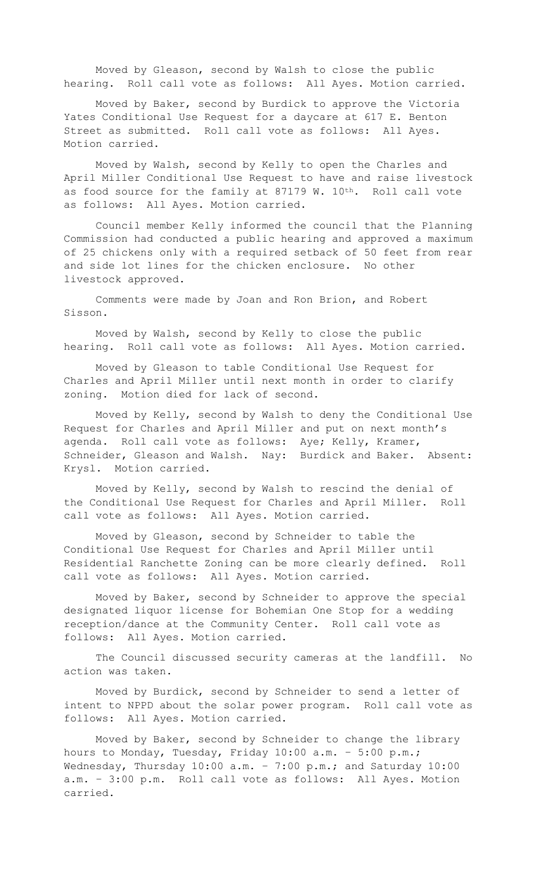Moved by Gleason, second by Walsh to close the public hearing. Roll call vote as follows: All Ayes. Motion carried.

Moved by Baker, second by Burdick to approve the Victoria Yates Conditional Use Request for a daycare at 617 E. Benton Street as submitted. Roll call vote as follows: All Ayes. Motion carried.

Moved by Walsh, second by Kelly to open the Charles and April Miller Conditional Use Request to have and raise livestock as food source for the family at 87179 W. 10th. Roll call vote as follows: All Ayes. Motion carried.

Council member Kelly informed the council that the Planning Commission had conducted a public hearing and approved a maximum of 25 chickens only with a required setback of 50 feet from rear and side lot lines for the chicken enclosure. No other livestock approved.

Comments were made by Joan and Ron Brion, and Robert Sisson.

Moved by Walsh, second by Kelly to close the public hearing. Roll call vote as follows: All Ayes. Motion carried.

Moved by Gleason to table Conditional Use Request for Charles and April Miller until next month in order to clarify zoning. Motion died for lack of second.

Moved by Kelly, second by Walsh to deny the Conditional Use Request for Charles and April Miller and put on next month's agenda. Roll call vote as follows: Aye; Kelly, Kramer, Schneider, Gleason and Walsh. Nay: Burdick and Baker. Absent: Krysl. Motion carried.

Moved by Kelly, second by Walsh to rescind the denial of the Conditional Use Request for Charles and April Miller. Roll call vote as follows: All Ayes. Motion carried.

Moved by Gleason, second by Schneider to table the Conditional Use Request for Charles and April Miller until Residential Ranchette Zoning can be more clearly defined. Roll call vote as follows: All Ayes. Motion carried.

Moved by Baker, second by Schneider to approve the special designated liquor license for Bohemian One Stop for a wedding reception/dance at the Community Center. Roll call vote as follows: All Ayes. Motion carried.

The Council discussed security cameras at the landfill. No action was taken.

Moved by Burdick, second by Schneider to send a letter of intent to NPPD about the solar power program. Roll call vote as follows: All Ayes. Motion carried.

Moved by Baker, second by Schneider to change the library hours to Monday, Tuesday, Friday 10:00 a.m. – 5:00 p.m.; Wednesday, Thursday 10:00 a.m. - 7:00 p.m.; and Saturday 10:00 a.m. – 3:00 p.m. Roll call vote as follows: All Ayes. Motion carried.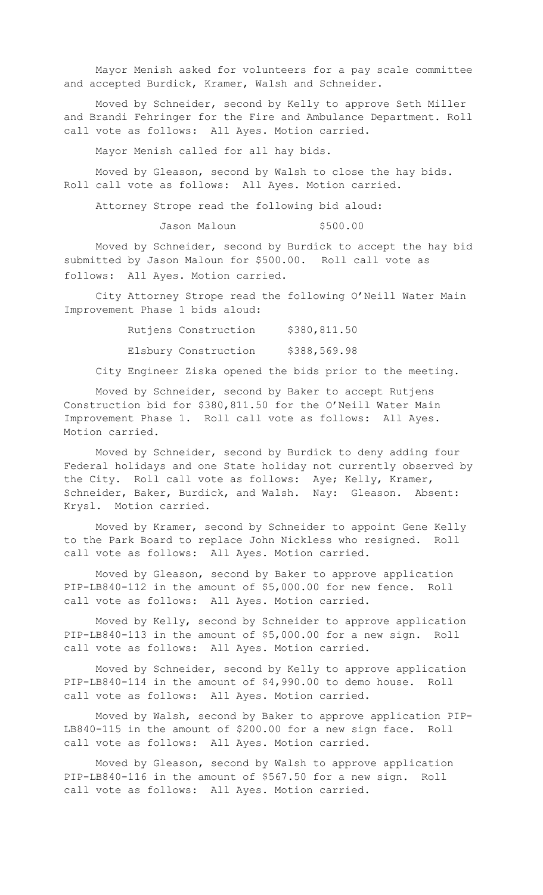Mayor Menish asked for volunteers for a pay scale committee and accepted Burdick, Kramer, Walsh and Schneider.

Moved by Schneider, second by Kelly to approve Seth Miller and Brandi Fehringer for the Fire and Ambulance Department. Roll call vote as follows: All Ayes. Motion carried.

Mayor Menish called for all hay bids.

Moved by Gleason, second by Walsh to close the hay bids. Roll call vote as follows: All Ayes. Motion carried.

Attorney Strope read the following bid aloud:

Jason Maloun \$500.00

Moved by Schneider, second by Burdick to accept the hay bid submitted by Jason Maloun for \$500.00. Roll call vote as follows: All Ayes. Motion carried.

City Attorney Strope read the following O'Neill Water Main Improvement Phase 1 bids aloud:

> Rutjens Construction \$380,811.50 Elsbury Construction \$388,569.98

City Engineer Ziska opened the bids prior to the meeting.

Moved by Schneider, second by Baker to accept Rutjens Construction bid for \$380,811.50 for the O'Neill Water Main Improvement Phase 1. Roll call vote as follows: All Ayes. Motion carried.

Moved by Schneider, second by Burdick to deny adding four Federal holidays and one State holiday not currently observed by the City. Roll call vote as follows: Aye; Kelly, Kramer, Schneider, Baker, Burdick, and Walsh. Nay: Gleason. Absent: Krysl. Motion carried.

Moved by Kramer, second by Schneider to appoint Gene Kelly to the Park Board to replace John Nickless who resigned. Roll call vote as follows: All Ayes. Motion carried.

Moved by Gleason, second by Baker to approve application PIP-LB840-112 in the amount of \$5,000.00 for new fence. Roll call vote as follows: All Ayes. Motion carried.

Moved by Kelly, second by Schneider to approve application PIP-LB840-113 in the amount of \$5,000.00 for a new sign. Roll call vote as follows: All Ayes. Motion carried.

Moved by Schneider, second by Kelly to approve application PIP-LB840-114 in the amount of \$4,990.00 to demo house. Roll call vote as follows: All Ayes. Motion carried.

Moved by Walsh, second by Baker to approve application PIP-LB840-115 in the amount of \$200.00 for a new sign face. Roll call vote as follows: All Ayes. Motion carried.

Moved by Gleason, second by Walsh to approve application PIP-LB840-116 in the amount of \$567.50 for a new sign. Roll call vote as follows: All Ayes. Motion carried.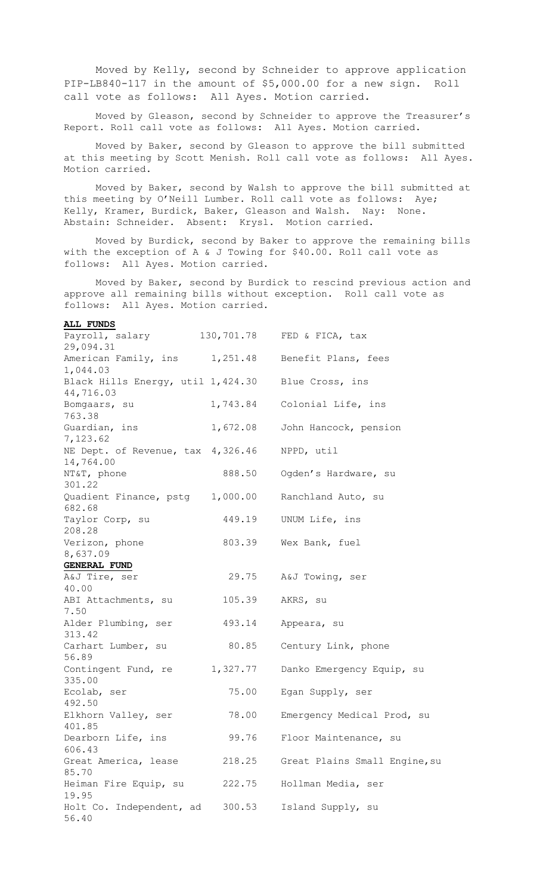Moved by Kelly, second by Schneider to approve application PIP-LB840-117 in the amount of \$5,000.00 for a new sign. Roll call vote as follows: All Ayes. Motion carried.

Moved by Gleason, second by Schneider to approve the Treasurer's Report. Roll call vote as follows: All Ayes. Motion carried.

Moved by Baker, second by Gleason to approve the bill submitted at this meeting by Scott Menish. Roll call vote as follows: All Ayes. Motion carried.

Moved by Baker, second by Walsh to approve the bill submitted at this meeting by O'Neill Lumber. Roll call vote as follows: Aye; Kelly, Kramer, Burdick, Baker, Gleason and Walsh. Nay: None. Abstain: Schneider. Absent: Krysl. Motion carried.

Moved by Burdick, second by Baker to approve the remaining bills with the exception of A & J Towing for \$40.00. Roll call vote as follows: All Ayes. Motion carried.

Moved by Baker, second by Burdick to rescind previous action and approve all remaining bills without exception. Roll call vote as follows: All Ayes. Motion carried.

## **ALL FUNDS**

| Payroll, salary 130,701.78 FED & FICA, tax                    |          |                               |
|---------------------------------------------------------------|----------|-------------------------------|
| 29,094.31                                                     |          |                               |
| American Family, ins 1,251.48 Benefit Plans, fees<br>1,044.03 |          |                               |
| Black Hills Energy, util 1,424.30                             |          | Blue Cross, ins               |
| 44,716.03                                                     |          |                               |
| Bomgaars, su                                                  |          | 1,743.84 Colonial Life, ins   |
| 763.38                                                        |          |                               |
| Guardian, ins<br>7,123.62                                     | 1,672.08 | John Hancock, pension         |
| NE Dept. of Revenue, tax 4,326.46<br>14,764.00                |          | NPPD, util                    |
| NT&T, phone<br>301.22                                         |          | 888.50 Ogden's Hardware, su   |
| Quadient Finance, pstg 1,000.00<br>682.68                     |          | Ranchland Auto, su            |
| Taylor Corp, su<br>208.28                                     | 449.19   | UNUM Life, ins                |
| Verizon, phone                                                | 803.39   | Wex Bank, fuel                |
| 8,637.09                                                      |          |                               |
|                                                               |          |                               |
| <b>GENERAL FUND</b>                                           |          |                               |
| A&J Tire, ser                                                 | 29.75    | A&J Towing, ser               |
| 40.00                                                         |          |                               |
| ABI Attachments, su<br>7.50                                   | 105.39   | AKRS, su                      |
| Alder Plumbing, ser<br>313.42                                 | 493.14   | Appeara, su                   |
| Carhart Lumber, su                                            | 80.85    | Century Link, phone           |
| 56.89                                                         |          |                               |
| Contingent Fund, re 1,327.77                                  |          | Danko Emergency Equip, su     |
| 335.00                                                        |          |                               |
| Ecolab, ser                                                   | 75.00    | Egan Supply, ser              |
| 492.50                                                        |          |                               |
| Elkhorn Valley, ser                                           | 78.00    | Emergency Medical Prod, su    |
| 401.85                                                        |          |                               |
| Dearborn Life, ins                                            | 99.76    | Floor Maintenance, su         |
| 606.43                                                        |          |                               |
| Great America, lease                                          | 218.25   | Great Plains Small Engine, su |
| 85.70                                                         |          |                               |
| Heiman Fire Equip, su<br>19.95                                | 222.75   | Hollman Media, ser            |
| Holt Co. Independent, ad<br>56.40                             | 300.53   | Island Supply, su             |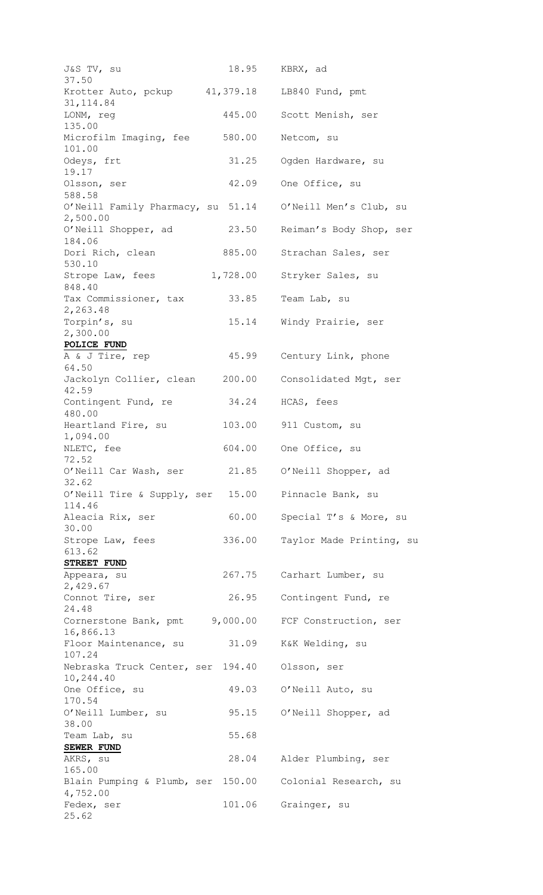| J&S TV, su                                     | 18.95     | KBRX, ad                 |
|------------------------------------------------|-----------|--------------------------|
| 37.50<br>Krotter Auto, pckup                   | 41,379.18 | LB840 Fund, pmt          |
| 31, 114.84<br>LONM, reg                        | 445.00    | Scott Menish, ser        |
| 135.00<br>Microfilm Imaging, fee<br>101.00     | 580.00    | Netcom, su               |
| Odeys, frt<br>19.17                            | 31.25     | Ogden Hardware, su       |
| Olsson, ser<br>588.58                          | 42.09     | One Office, su           |
| O'Neill Family Pharmacy, su 51.14<br>2,500.00  |           | O'Neill Men's Club, su   |
| O'Neill Shopper, ad<br>184.06                  | 23.50     | Reiman's Body Shop, ser  |
| Dori Rich, clean<br>530.10                     | 885.00    | Strachan Sales, ser      |
| Strope Law, fees<br>848.40                     | 1,728.00  | Stryker Sales, su        |
| Tax Commissioner, tax<br>2,263.48              | 33.85     | Team Lab, su             |
| Torpin's, su<br>2,300.00                       | 15.14     | Windy Prairie, ser       |
| POLICE FUND<br>A & J Tire, rep                 | 45.99     | Century Link, phone      |
| 64.50<br>Jackolyn Collier, clean               | 200.00    | Consolidated Mgt, ser    |
| 42.59<br>Contingent Fund, re                   | 34.24     | HCAS, fees               |
| 480.00<br>Heartland Fire, su                   | 103.00    | 911 Custom, su           |
| 1,094.00<br>NLETC, fee                         | 604.00    | One Office, su           |
| 72.52<br>O'Neill Car Wash, ser                 | 21.85     | O'Neill Shopper, ad      |
| 32.62<br>O'Neill Tire & Supply, ser            | 15.00     | Pinnacle Bank, su        |
| 114.46<br>Aleacia Rix, ser                     | 60.00     | Special T's & More, su   |
| 30.00<br>Strope Law, fees                      | 336.00    | Taylor Made Printing, su |
| 613.62<br>STREET FUND                          |           |                          |
| Appeara, su<br>2,429.67                        | 267.75    | Carhart Lumber, su       |
| Connot Tire, ser<br>24.48                      | 26.95     | Contingent Fund, re      |
| Cornerstone Bank, pmt 9,000.00<br>16,866.13    |           | FCF Construction, ser    |
| Floor Maintenance, su<br>107.24                | 31.09     | K&K Welding, su          |
| Nebraska Truck Center, ser 194.40<br>10,244.40 |           | Olsson, ser              |
| One Office, su<br>170.54                       | 49.03     | O'Neill Auto, su         |
| O'Neill Lumber, su<br>38.00                    | 95.15     | O'Neill Shopper, ad      |
| Team Lab, su<br>SEWER FUND                     | 55.68     |                          |
| AKRS, su<br>165.00                             | 28.04     | Alder Plumbing, ser      |
| Blain Pumping & Plumb, ser 150.00<br>4,752.00  |           | Colonial Research, su    |
| Fedex, ser<br>25.62                            | 101.06    | Grainger, su             |
|                                                |           |                          |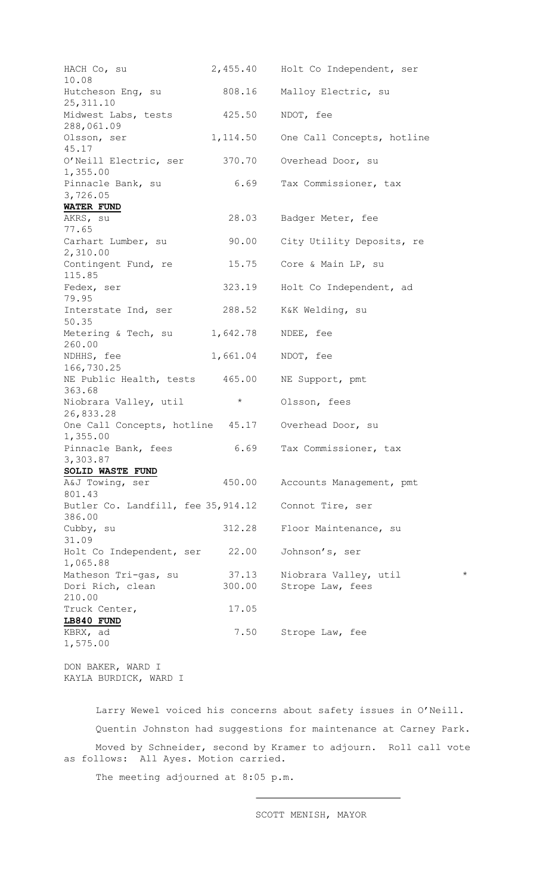| HACH Co, su<br>10.08                          |          | 2,455.40 Holt Co Independent, ser |
|-----------------------------------------------|----------|-----------------------------------|
| Hutcheson Eng, su<br>25, 311.10               | 808.16   | Malloy Electric, su               |
| Midwest Labs, tests<br>288,061.09             | 425.50   | NDOT, fee                         |
| Olsson, ser<br>45.17                          | 1,114.50 | One Call Concepts, hotline        |
| O'Neill Electric, ser<br>1,355.00             | 370.70   | Overhead Door, su                 |
| Pinnacle Bank, su<br>3,726.05                 | 6.69     | Tax Commissioner, tax             |
| <b>WATER FUND</b>                             |          |                                   |
| AKRS, su<br>77.65                             | 28.03    | Badger Meter, fee                 |
| Carhart Lumber, su<br>2,310.00                | 90.00    | City Utility Deposits, re         |
| Contingent Fund, re<br>115.85                 | 15.75    | Core & Main LP, su                |
| Fedex, ser<br>79.95                           | 323.19   | Holt Co Independent, ad           |
| Interstate Ind, ser<br>50.35                  | 288.52   | K&K Welding, su                   |
| Metering & Tech, su<br>260.00                 | 1,642.78 | NDEE, fee                         |
| NDHHS, fee<br>166,730.25                      | 1,661.04 | NDOT, fee                         |
| NE Public Health, tests 465.00<br>363.68      |          | NE Support, pmt                   |
| Niobrara Valley, util<br>26,833.28            | $\star$  | Olsson, fees                      |
| One Call Concepts, hotline 45.17<br>1,355.00  |          | Overhead Door, su                 |
| Pinnacle Bank, fees<br>3,303.87               | 6.69     | Tax Commissioner, tax             |
| SOLID WASTE FUND                              |          |                                   |
| A&J Towing, ser<br>801.43                     | 450.00   | Accounts Management, pmt          |
| Butler Co. Landfill, fee 35, 914.12<br>386.00 |          | Connot Tire, ser                  |
| Cubby, su<br>31.09                            | 312.28   | Floor Maintenance, su             |
| Holt Co Independent, ser<br>1,065.88          | 22.00    | Johnson's, ser                    |
| Matheson Tri-gas, su                          | 37.13    | $^\star$<br>Niobrara Valley, util |
| Dori Rich, clean                              | 300.00   | Strope Law, fees                  |
| 210.00                                        |          |                                   |
| Truck Center,                                 | 17.05    |                                   |
| LB840 FUND                                    |          |                                   |
| KBRX, ad                                      | 7.50     |                                   |
| 1,575.00                                      |          | Strope Law, fee                   |

DON BAKER, WARD I KAYLA BURDICK, WARD I

Larry Wewel voiced his concerns about safety issues in O'Neill. Quentin Johnston had suggestions for maintenance at Carney Park. Moved by Schneider, second by Kramer to adjourn. Roll call vote as follows: All Ayes. Motion carried.

The meeting adjourned at 8:05 p.m.